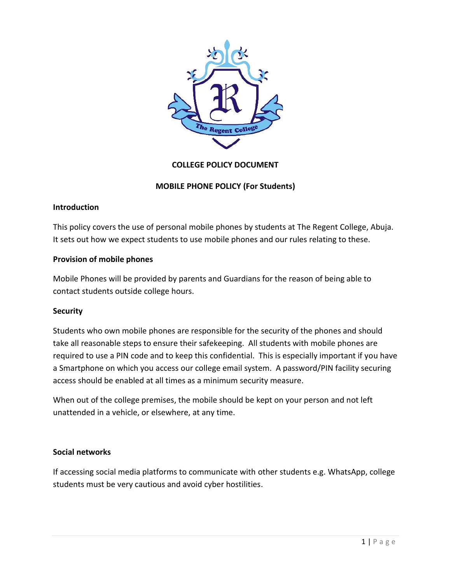

# **COLLEGE POLICY DOCUMENT**

# **MOBILE PHONE POLICY (For Students)**

#### **Introduction**

This policy covers the use of personal mobile phones by students at The Regent College, Abuja. It sets out how we expect students to use mobile phones and our rules relating to these.

# **Provision of mobile phones**

Mobile Phones will be provided by parents and Guardians for the reason of being able to contact students outside college hours.

# **Security**

Students who own mobile phones are responsible for the security of the phones and should take all reasonable steps to ensure their safekeeping. All students with mobile phones are required to use a PIN code and to keep this confidential. This is especially important if you have a Smartphone on which you access our college email system. A password/PIN facility securing access should be enabled at all times as a minimum security measure.

When out of the college premises, the mobile should be kept on your person and not left unattended in a vehicle, or elsewhere, at any time.

#### **Social networks**

If accessing social media platforms to communicate with other students e.g. WhatsApp, college students must be very cautious and avoid cyber hostilities.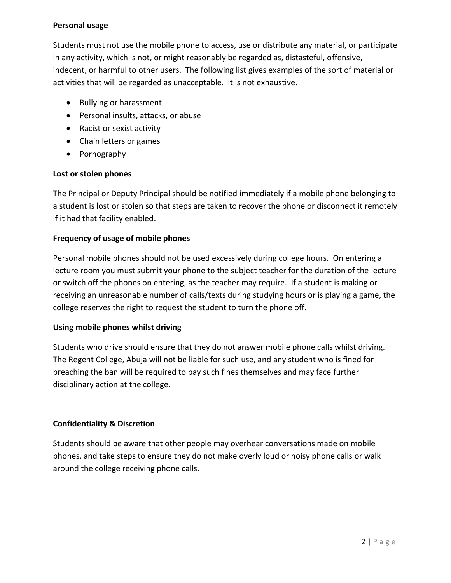#### **Personal usage**

Students must not use the mobile phone to access, use or distribute any material, or participate in any activity, which is not, or might reasonably be regarded as, distasteful, offensive, indecent, or harmful to other users. The following list gives examples of the sort of material or activities that will be regarded as unacceptable. It is not exhaustive.

- Bullying or harassment
- Personal insults, attacks, or abuse
- Racist or sexist activity
- Chain letters or games
- Pornography

### **Lost or stolen phones**

The Principal or Deputy Principal should be notified immediately if a mobile phone belonging to a student is lost or stolen so that steps are taken to recover the phone or disconnect it remotely if it had that facility enabled.

# **Frequency of usage of mobile phones**

Personal mobile phones should not be used excessively during college hours. On entering a lecture room you must submit your phone to the subject teacher for the duration of the lecture or switch off the phones on entering, as the teacher may require. If a student is making or receiving an unreasonable number of calls/texts during studying hours or is playing a game, the college reserves the right to request the student to turn the phone off.

# **Using mobile phones whilst driving**

Students who drive should ensure that they do not answer mobile phone calls whilst driving. The Regent College, Abuja will not be liable for such use, and any student who is fined for breaching the ban will be required to pay such fines themselves and may face further disciplinary action at the college.

# **Confidentiality & Discretion**

Students should be aware that other people may overhear conversations made on mobile phones, and take steps to ensure they do not make overly loud or noisy phone calls or walk around the college receiving phone calls.